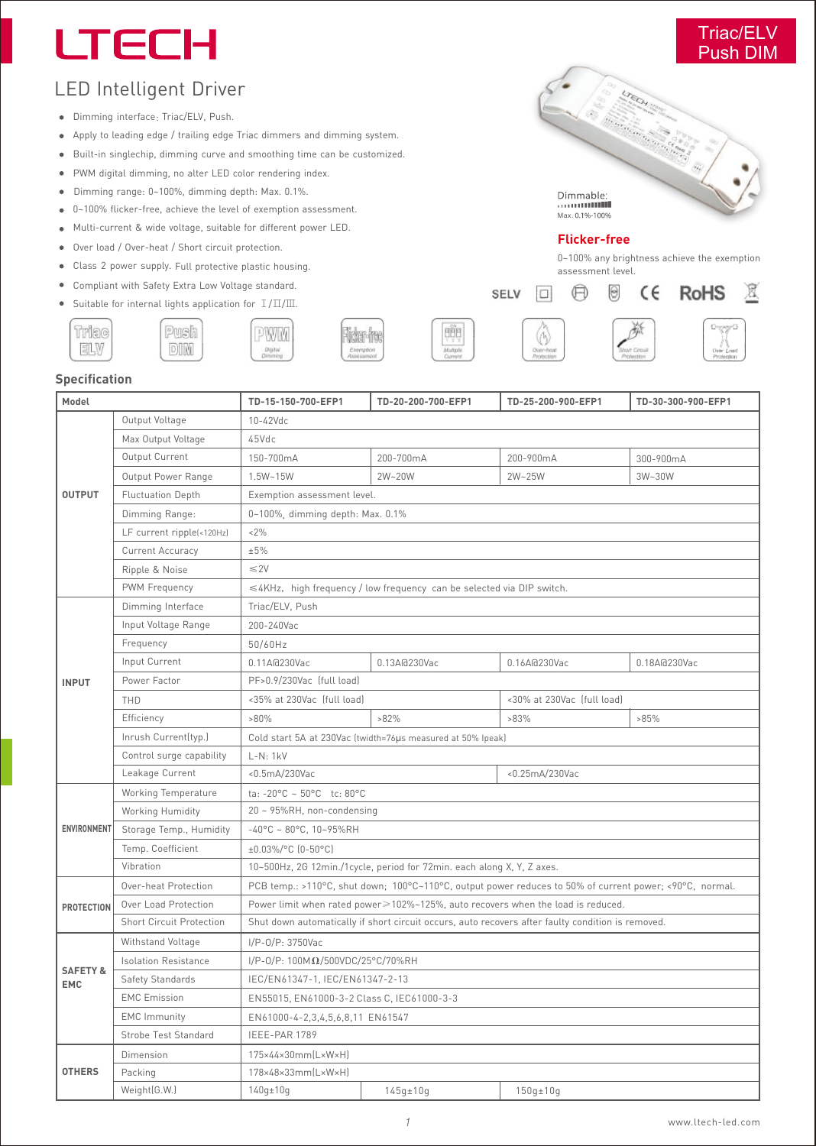# **LTECH**

# Triac/ELV

 $\mathbb{Z}$ 

# LED Intelligent Driver

- Dimming interface: Triac/ELV, Push.
- Apply to leading edge / trailing edge Triac dimmers and dimming system.  $\bullet$
- Built-in singlechip, dimming curve and smoothing time can be customized.  $\bullet$
- PWM digital dimming, no alter LED color rendering index.  $\bullet$
- Dimming range: 0~100%, dimming depth: Max. 0.1%.  $\bullet$
- 0~100% flicker-free, achieve the level of exemption assessment.  $\bullet$
- Multi-current & wide voltage, suitable for different power LED.  $\bullet$
- Over load / Over-heat / Short circuit protection.  $\bullet$
- Class 2 power supply. Full protective plastic housing.
- $\bullet$ Compliant with Safety Extra Low Voltage standard.
- Suitable for internal lights application for Ⅰ/Ⅱ/Ⅲ.  $\bullet$ Push

**DIM** 









| Model                             |                                 | TD-15-150-700-EFP1                                                                                      | TD-20-200-700-EFP1 | TD-25-200-900-EFP1 | TD-30-300-900-EFP1 |  |  |  |  |
|-----------------------------------|---------------------------------|---------------------------------------------------------------------------------------------------------|--------------------|--------------------|--------------------|--|--|--|--|
| <b>OUTPUT</b>                     | Output Voltage                  | 10-42Vdc                                                                                                |                    |                    |                    |  |  |  |  |
|                                   | Max Output Voltage              | 45Vdc                                                                                                   |                    |                    |                    |  |  |  |  |
|                                   | Output Current                  | 150-700mA                                                                                               | 200-700mA          | 200-900mA          | 300-900mA          |  |  |  |  |
|                                   | Output Power Range              | 1.5W~15W                                                                                                | 2W~20W             | 2W~25W             | 3W~30W             |  |  |  |  |
|                                   | <b>Fluctuation Depth</b>        | Exemption assessment level.                                                                             |                    |                    |                    |  |  |  |  |
|                                   | Dimming Range:                  | 0~100%, dimming depth: Max. 0.1%                                                                        |                    |                    |                    |  |  |  |  |
|                                   | LF current ripple(<120Hz)       | $< 2\%$                                                                                                 |                    |                    |                    |  |  |  |  |
|                                   | <b>Current Accuracy</b>         | ±5%                                                                                                     |                    |                    |                    |  |  |  |  |
|                                   | Ripple & Noise                  | $\leq$ 2V                                                                                               |                    |                    |                    |  |  |  |  |
|                                   | PWM Frequency                   | ≤4KHz, high frequency / low frequency can be selected via DIP switch.                                   |                    |                    |                    |  |  |  |  |
|                                   | Dimming Interface               | Triac/ELV, Push                                                                                         |                    |                    |                    |  |  |  |  |
|                                   | Input Voltage Range             | 200-240Vac                                                                                              |                    |                    |                    |  |  |  |  |
|                                   | Frequency                       | 50/60Hz                                                                                                 |                    |                    |                    |  |  |  |  |
|                                   | Input Current                   | 0.11A@230Vac                                                                                            | 0.13A@230Vac       | 0.16A@230Vac       | 0.18A@230Vac       |  |  |  |  |
| <b>INPUT</b>                      | Power Factor                    | PF>0.9/230Vac [full load]                                                                               |                    |                    |                    |  |  |  |  |
|                                   | THD                             | <35% at 230Vac (full load)                                                                              |                    |                    |                    |  |  |  |  |
|                                   | Efficiency                      | $>80\%$                                                                                                 | $>82\%$            | $>83\%$            | >85%               |  |  |  |  |
|                                   | Inrush Current(typ.)            | Cold start 5A at 230Vac (twidth=76µs measured at 50% Ipeak)                                             |                    |                    |                    |  |  |  |  |
|                                   | Control surge capability        | $L-N: 1kV$                                                                                              |                    |                    |                    |  |  |  |  |
|                                   | Leakage Current                 | <0.5mA/230Vac                                                                                           |                    | <0.25mA/230Vac     |                    |  |  |  |  |
|                                   | Working Temperature             | ta: -20°C ~ 50°C tc: 80°C                                                                               |                    |                    |                    |  |  |  |  |
|                                   | Working Humidity                | 20 ~ 95%RH, non-condensing                                                                              |                    |                    |                    |  |  |  |  |
| ENVIRONMENT                       | Storage Temp., Humidity         | $-40^{\circ}$ C ~ 80°C, 10~95%RH                                                                        |                    |                    |                    |  |  |  |  |
|                                   | Temp. Coefficient               | ±0.03%/°C (0-50°C)                                                                                      |                    |                    |                    |  |  |  |  |
|                                   | Vibration                       | 10~500Hz, 2G 12min./1cycle, period for 72min. each along X, Y, Z axes.                                  |                    |                    |                    |  |  |  |  |
|                                   | Over-heat Protection            | PCB temp.: >110°C, shut down; 100°C~110°C, output power reduces to 50% of current power; <90°C, normal. |                    |                    |                    |  |  |  |  |
| <b>PROTECTION</b>                 | Over Load Protection            | Power limit when rated power≥102%~125%, auto recovers when the load is reduced.                         |                    |                    |                    |  |  |  |  |
|                                   | <b>Short Circuit Protection</b> | Shut down automatically if short circuit occurs, auto recovers after faulty condition is removed.       |                    |                    |                    |  |  |  |  |
|                                   | Withstand Voltage               | I/P-0/P: 3750Vac                                                                                        |                    |                    |                    |  |  |  |  |
|                                   | <b>Isolation Resistance</b>     | $I/P-O/P: 100 M\Omega/500 VDC/25°C/70%RH$                                                               |                    |                    |                    |  |  |  |  |
| <b>SAFETY &amp;</b><br><b>EMC</b> | Safety Standards                | IEC/EN61347-1, IEC/EN61347-2-13                                                                         |                    |                    |                    |  |  |  |  |
|                                   | <b>EMC</b> Emission             | EN55015, EN61000-3-2 Class C, IEC61000-3-3                                                              |                    |                    |                    |  |  |  |  |
|                                   | <b>EMC</b> Immunity             | EN61000-4-2,3,4,5,6,8,11 EN61547                                                                        |                    |                    |                    |  |  |  |  |
|                                   | Strobe Test Standard            | IEEE-PAR 1789                                                                                           |                    |                    |                    |  |  |  |  |
| <b>OTHERS</b>                     | Dimension                       | 175×44×30mm(L×W×H)                                                                                      |                    |                    |                    |  |  |  |  |
|                                   | Packing                         | 178×48×33mm(L×W×H)                                                                                      |                    |                    |                    |  |  |  |  |
|                                   | Weight(G.W.)                    | $140q \pm 10q$                                                                                          | $145q \pm 10q$     | $150q \pm 10q$     |                    |  |  |  |  |

### **Flicker-free**

 $\bigoplus$ 

SELV

 $\Box$ 

 $\Theta$ 

0~100% any brightness achieve the exemption assessment level.

**RoHS** 

 $\epsilon$